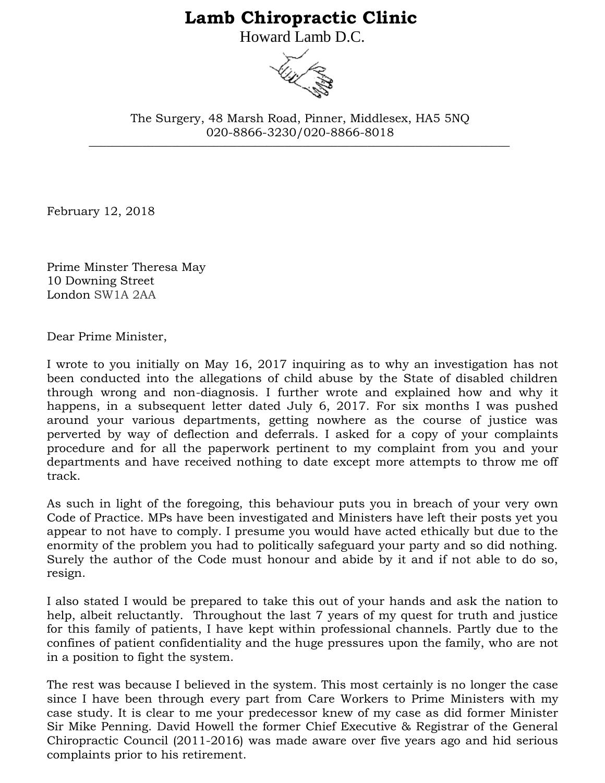## **Lamb Chiropractic Clinic**

Howard Lamb D.C.



\_\_\_\_\_\_\_\_\_\_\_\_\_\_\_\_\_\_\_\_\_\_\_\_\_\_\_\_\_\_\_\_\_\_\_\_\_\_\_\_\_\_\_\_\_\_\_\_\_\_\_\_\_\_\_\_\_\_\_\_\_\_\_\_\_\_\_\_\_\_\_ The Surgery, 48 Marsh Road, Pinner, Middlesex, HA5 5NQ 020-8866-3230/020-8866-8018

February 12, 2018

Prime Minster Theresa May 10 Downing Street London SW1A 2AA

Dear Prime Minister,

I wrote to you initially on May 16, 2017 inquiring as to why an investigation has not been conducted into the allegations of child abuse by the State of disabled children through wrong and non-diagnosis. I further wrote and explained how and why it happens, in a subsequent letter dated July 6, 2017. For six months I was pushed around your various departments, getting nowhere as the course of justice was perverted by way of deflection and deferrals. I asked for a copy of your complaints procedure and for all the paperwork pertinent to my complaint from you and your departments and have received nothing to date except more attempts to throw me off track.

As such in light of the foregoing, this behaviour puts you in breach of your very own Code of Practice. MPs have been investigated and Ministers have left their posts yet you appear to not have to comply. I presume you would have acted ethically but due to the enormity of the problem you had to politically safeguard your party and so did nothing. Surely the author of the Code must honour and abide by it and if not able to do so, resign.

I also stated I would be prepared to take this out of your hands and ask the nation to help, albeit reluctantly. Throughout the last 7 years of my quest for truth and justice for this family of patients, I have kept within professional channels. Partly due to the confines of patient confidentiality and the huge pressures upon the family, who are not in a position to fight the system.

The rest was because I believed in the system. This most certainly is no longer the case since I have been through every part from Care Workers to Prime Ministers with my case study. It is clear to me your predecessor knew of my case as did former Minister Sir Mike Penning. David Howell the former Chief Executive & Registrar of the General Chiropractic Council (2011-2016) was made aware over five years ago and hid serious complaints prior to his retirement.